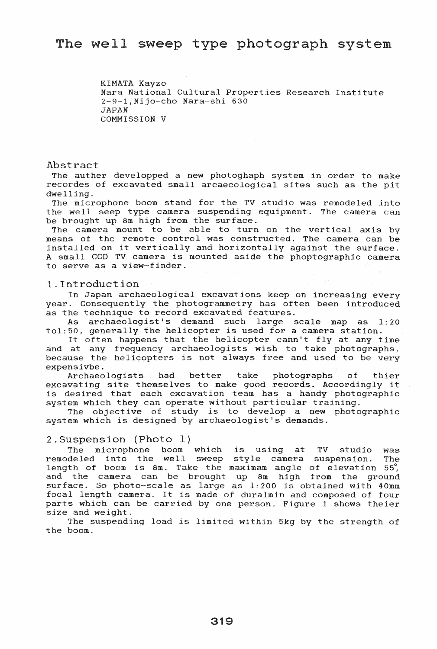KIMATA Kayzo Nara National Cultural Properties Research Institute 2-9-1,Nijo-cho Nara-shi 630 JAPAN COMMISSION V

Abstract

The auther developped a new photoghaph system in order to make recordes of excavated small arcaecological sites such as the pit dwelling.

The microphone boom stand for the TV studio was remodeled into the well seep type camera suspending equipment. The camera can be brought up 8m high from the surface.

The camera mount to be able to turn on the vertical axis by means of the remote control was constructed. The camera can be means of the remote control was constructed. The camera can be<br>installed on it vertically and horizontally against the surface. A small CCD TV camera is mounted aside the phoptographic camera to serve as a view-finder.

## 1. Introduction

In Japan archaeological excavations keep on increasing every year. Consequently the photogrammetry has often been introduced as the technique to record excavated features.

As archaeologist's demand such large scale map as 1:20 tol:50, generally the helicopter is used for a camera station.

It often happens that the helicopter cann't fly at any time and at any frequency archaeologists wish to take photographs, because the helicopters is not always free and used to be very expensivbe.<br>Archaeologists had better take

Archaeologists had better take photographs of thier Archaeologists had better take photographs of thier<br>excavating site themselves to make good records. Accordingly it excavating site themselves to make good resords. Hecordingly it system which they can operate without particular training.

The objective of study is to develop a new photographic system which is designed by archaeologist's demands.

## 2.Suspension (Photo 1)

The microphone boom which is using at TV studio was remodeled into the well sweep style camera suspension. The length of boom is 8m. Take the maximam angle of elevation  $55'$ , and the camera can be brought up 8m high from the ground surface. So photo-scale as large as 1:200 is obtained with 40mm focal length camera. It is made of duralmin and composed of four parts which can be carried by one person. Figure 1 shows theier size and weight.

The suspending load is limited within 5kg by the strength of the boom.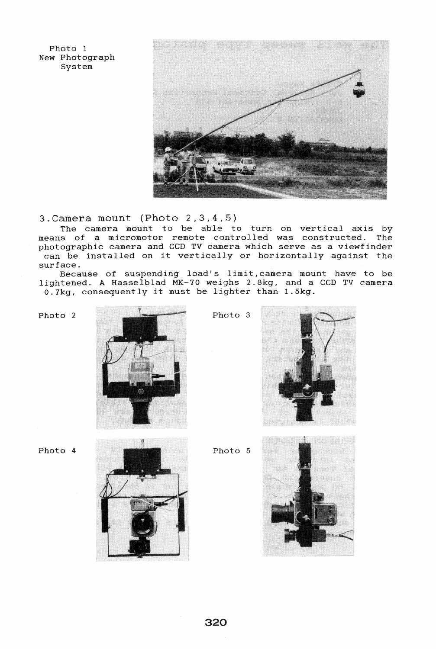Photo 1 New Photograph System



3.Camera mount (Photo 2,3,4,5)

The camera mount to be able to turn on vertical axis by means of a micromotor remote controlled was constructed. The photographic camera and CCD TV camera which serve as a viewfinder can be installed on it vertically or horizontally against the surface.

Because of suspending load's limit, camera mount have to be lightened. A Hasselblad MK-70 weighs 2.8kg, and a CGD TV camera O.7kg, consequently it must be lighter than 1.5kg.







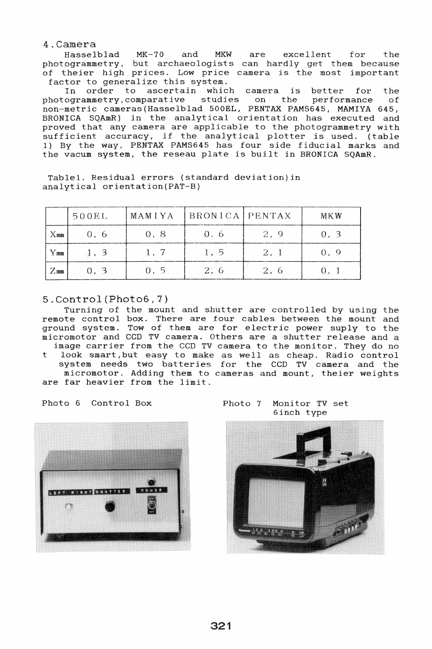4.Camera

Hasselblad MK-70 and MKW are excellent for the photogrammetry, but archaeologists can hardly get them because of theier high prices. Low price camera is the most important factor to generalize this system.

In order to ascertain which camera is better for the<br>ogrammetry,comparative studies on the performance of photogrammetry,comparative studies on the performance of non-metric cameras(Hasselblad 500EL, PENTAX PAMS645, MAMIYA 645, BRONICA SQAmR) in the analytical orientation has executed and proved that any camera are applicable to the photogrammetry with sufficient accuracy, if the analytical plotter is used. (table 1) By the way, PENTAX PAMS645 has four side fiducial marks and the vacum system, the reseau plate is built in BRONICA SQAmR.

Table1. Residual errors (standard deviation)in analytical orientation(PAT-B)

|             | 500EL | <b>MAMIYA</b> | BRONICA   PENTAX |      | MKN       |
|-------------|-------|---------------|------------------|------|-----------|
| $\times$ mm | 0.6   | 0.8           | 0. 6             | 2, 9 |           |
| Υmm         |       | 1.7           | 1.5              | 2.1  | $(1 \ 9)$ |
| $\angle$ mm |       | - 11 - 5      | 2.6              |      |           |

## 5.Control(Photo6,7)

Turning of the mount and shutter are controlled by using the remote control box. There are four cables between the mount and ground system. Tow of them are for electric power suply to the micromotor and CCD TV camera. Others are a shutter release and a image carrier from the CCD TV camera to the monitor. They do no

look smart, but easy to make as well as cheap. Radio control system needs two batteries for the CCD TV camera and the micromotor. Adding them to cameras and mount, theier weights are far heavier from the limit.



Photo 6 Control Box Photo 7 Monitor TV set 6inch type

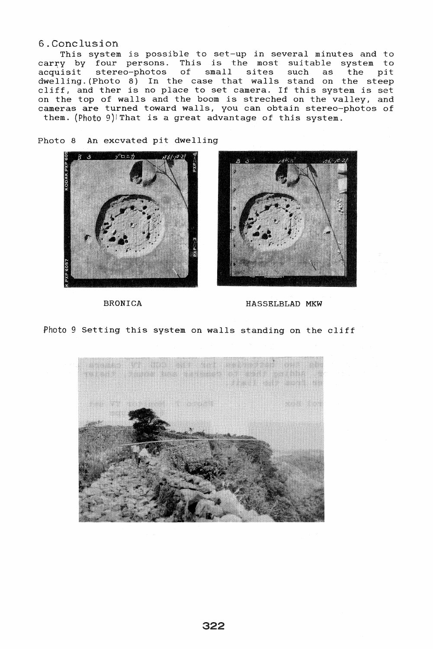## 6.Conclusion

This system is possible to set-up in several minutes and to carry by four persons. This is the most suitable system to<br>acquisit stereo-photos of small sites such as the pit acquisit stereo-photos of small dwelling. (Photo 8) In the case that walls stand on the steep cliff, and ther is no place to set camera. If this system is set on the top of walls and the boom is streched on the valley, and cameras are turned toward walls, you can obtain stereo-photos of them. (Photo 9)1 That is a great advantage of this system.

Photo 8 An excvated pit dwelling





BRONICA HASSELBLAD MKW